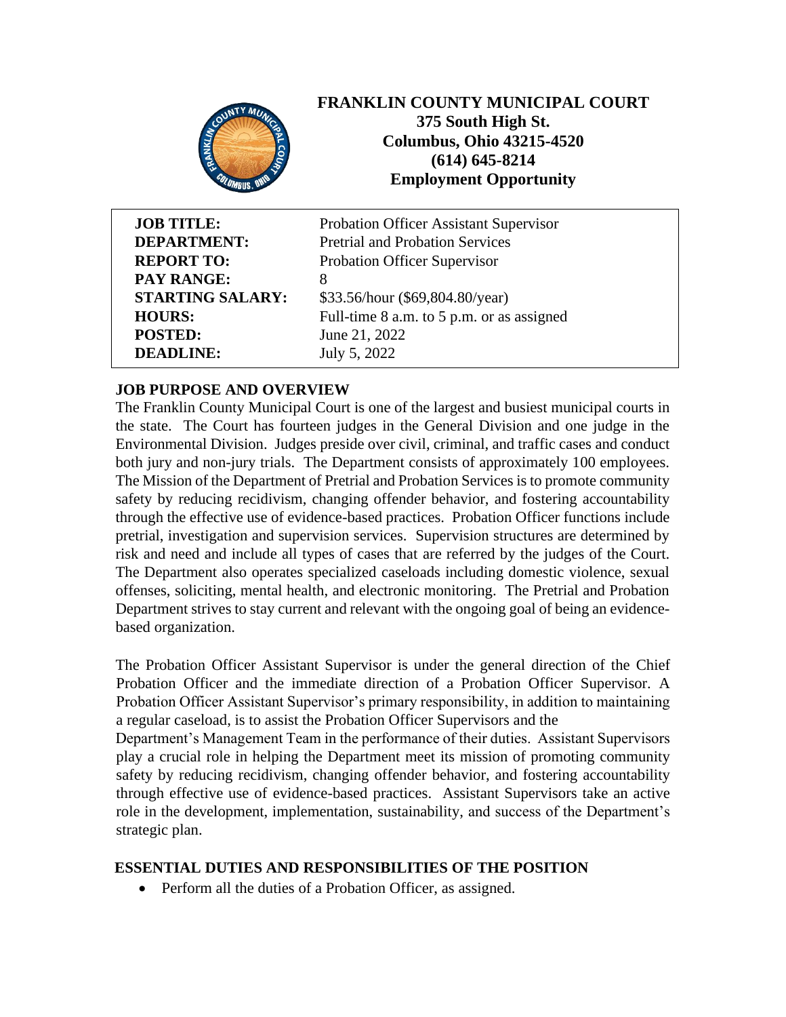

# **FRANKLIN COUNTY MUNICIPAL COURT 375 South High St. Columbus, Ohio 43215-4520 (614) 645-8214 Employment Opportunity**

| <b>JOB TITLE:</b>       | Probation Officer Assistant Supervisor    |
|-------------------------|-------------------------------------------|
| <b>DEPARTMENT:</b>      | <b>Pretrial and Probation Services</b>    |
| <b>REPORT TO:</b>       | Probation Officer Supervisor              |
| <b>PAY RANGE:</b>       | 8                                         |
| <b>STARTING SALARY:</b> | \$33.56/hour (\$69,804.80/year)           |
| <b>HOURS:</b>           | Full-time 8 a.m. to 5 p.m. or as assigned |
| <b>POSTED:</b>          | June 21, 2022                             |
| <b>DEADLINE:</b>        | July 5, 2022                              |

# **JOB PURPOSE AND OVERVIEW**

The Franklin County Municipal Court is one of the largest and busiest municipal courts in the state. The Court has fourteen judges in the General Division and one judge in the Environmental Division. Judges preside over civil, criminal, and traffic cases and conduct both jury and non-jury trials. The Department consists of approximately 100 employees. The Mission of the Department of Pretrial and Probation Services is to promote community safety by reducing recidivism, changing offender behavior, and fostering accountability through the effective use of evidence-based practices. Probation Officer functions include pretrial, investigation and supervision services. Supervision structures are determined by risk and need and include all types of cases that are referred by the judges of the Court. The Department also operates specialized caseloads including domestic violence, sexual offenses, soliciting, mental health, and electronic monitoring. The Pretrial and Probation Department strives to stay current and relevant with the ongoing goal of being an evidencebased organization.

The Probation Officer Assistant Supervisor is under the general direction of the Chief Probation Officer and the immediate direction of a Probation Officer Supervisor. A Probation Officer Assistant Supervisor's primary responsibility, in addition to maintaining a regular caseload, is to assist the Probation Officer Supervisors and the

Department's Management Team in the performance of their duties. Assistant Supervisors play a crucial role in helping the Department meet its mission of promoting community safety by reducing recidivism, changing offender behavior, and fostering accountability through effective use of evidence-based practices. Assistant Supervisors take an active role in the development, implementation, sustainability, and success of the Department's strategic plan.

### **ESSENTIAL DUTIES AND RESPONSIBILITIES OF THE POSITION**

• Perform all the duties of a Probation Officer, as assigned.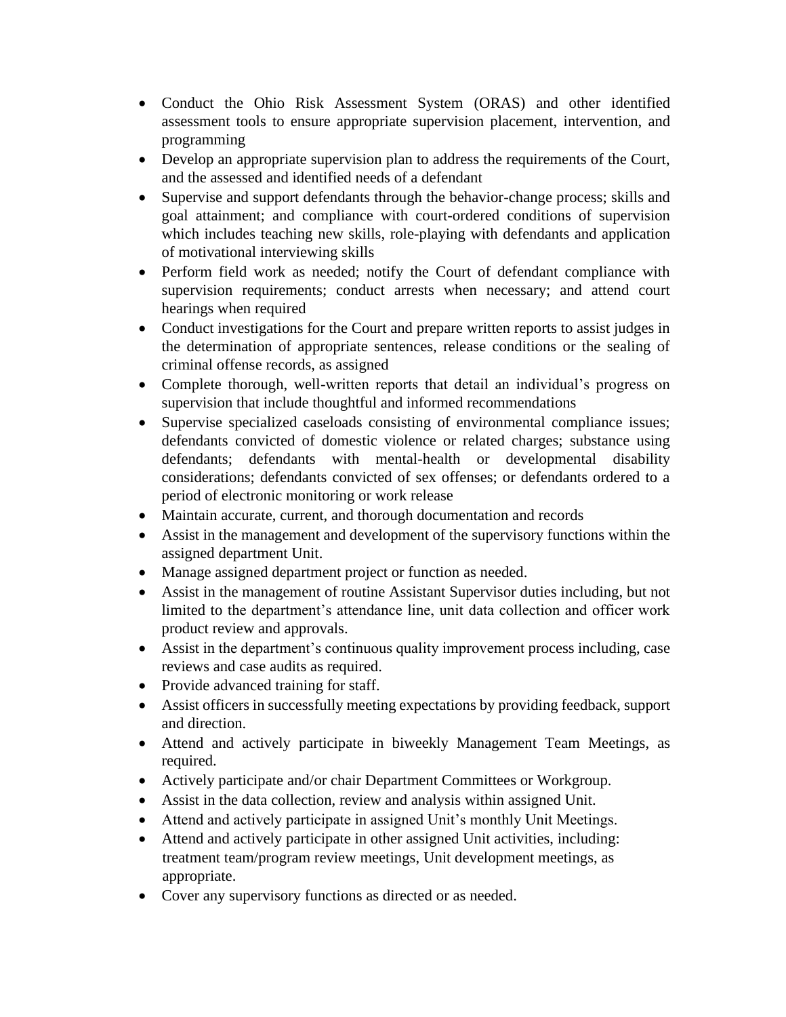- Conduct the Ohio Risk Assessment System (ORAS) and other identified assessment tools to ensure appropriate supervision placement, intervention, and programming
- Develop an appropriate supervision plan to address the requirements of the Court, and the assessed and identified needs of a defendant
- Supervise and support defendants through the behavior-change process; skills and goal attainment; and compliance with court-ordered conditions of supervision which includes teaching new skills, role-playing with defendants and application of motivational interviewing skills
- Perform field work as needed; notify the Court of defendant compliance with supervision requirements; conduct arrests when necessary; and attend court hearings when required
- Conduct investigations for the Court and prepare written reports to assist judges in the determination of appropriate sentences, release conditions or the sealing of criminal offense records, as assigned
- Complete thorough, well-written reports that detail an individual's progress on supervision that include thoughtful and informed recommendations
- Supervise specialized caseloads consisting of environmental compliance issues; defendants convicted of domestic violence or related charges; substance using defendants; defendants with mental-health or developmental disability considerations; defendants convicted of sex offenses; or defendants ordered to a period of electronic monitoring or work release
- Maintain accurate, current, and thorough documentation and records
- Assist in the management and development of the supervisory functions within the assigned department Unit.
- Manage assigned department project or function as needed.
- Assist in the management of routine Assistant Supervisor duties including, but not limited to the department's attendance line, unit data collection and officer work product review and approvals.
- Assist in the department's continuous quality improvement process including, case reviews and case audits as required.
- Provide advanced training for staff.
- Assist officers in successfully meeting expectations by providing feedback, support and direction.
- Attend and actively participate in biweekly Management Team Meetings, as required.
- Actively participate and/or chair Department Committees or Workgroup.
- Assist in the data collection, review and analysis within assigned Unit.
- Attend and actively participate in assigned Unit's monthly Unit Meetings.
- Attend and actively participate in other assigned Unit activities, including: treatment team/program review meetings, Unit development meetings, as appropriate.
- Cover any supervisory functions as directed or as needed.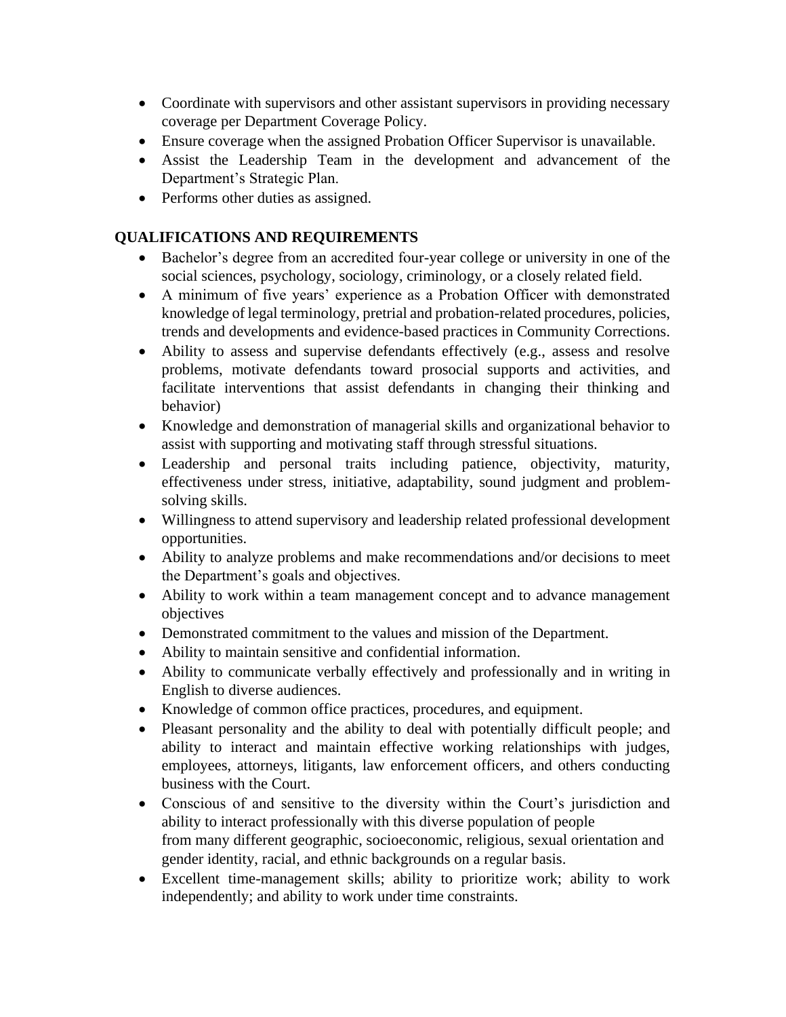- Coordinate with supervisors and other assistant supervisors in providing necessary coverage per Department Coverage Policy.
- Ensure coverage when the assigned Probation Officer Supervisor is unavailable.
- Assist the Leadership Team in the development and advancement of the Department's Strategic Plan.
- Performs other duties as assigned.

# **QUALIFICATIONS AND REQUIREMENTS**

- Bachelor's degree from an accredited four-year college or university in one of the social sciences, psychology, sociology, criminology, or a closely related field.
- A minimum of five years' experience as a Probation Officer with demonstrated knowledge of legal terminology, pretrial and probation-related procedures, policies, trends and developments and evidence-based practices in Community Corrections.
- Ability to assess and supervise defendants effectively (e.g., assess and resolve problems, motivate defendants toward prosocial supports and activities, and facilitate interventions that assist defendants in changing their thinking and behavior)
- Knowledge and demonstration of managerial skills and organizational behavior to assist with supporting and motivating staff through stressful situations.
- Leadership and personal traits including patience, objectivity, maturity, effectiveness under stress, initiative, adaptability, sound judgment and problemsolving skills.
- Willingness to attend supervisory and leadership related professional development opportunities.
- Ability to analyze problems and make recommendations and/or decisions to meet the Department's goals and objectives.
- Ability to work within a team management concept and to advance management objectives
- Demonstrated commitment to the values and mission of the Department.
- Ability to maintain sensitive and confidential information.
- Ability to communicate verbally effectively and professionally and in writing in English to diverse audiences.
- Knowledge of common office practices, procedures, and equipment.
- Pleasant personality and the ability to deal with potentially difficult people; and ability to interact and maintain effective working relationships with judges, employees, attorneys, litigants, law enforcement officers, and others conducting business with the Court.
- Conscious of and sensitive to the diversity within the Court's jurisdiction and ability to interact professionally with this diverse population of people from many different geographic, socioeconomic, religious, sexual orientation and gender identity, racial, and ethnic backgrounds on a regular basis.
- Excellent time-management skills; ability to prioritize work; ability to work independently; and ability to work under time constraints.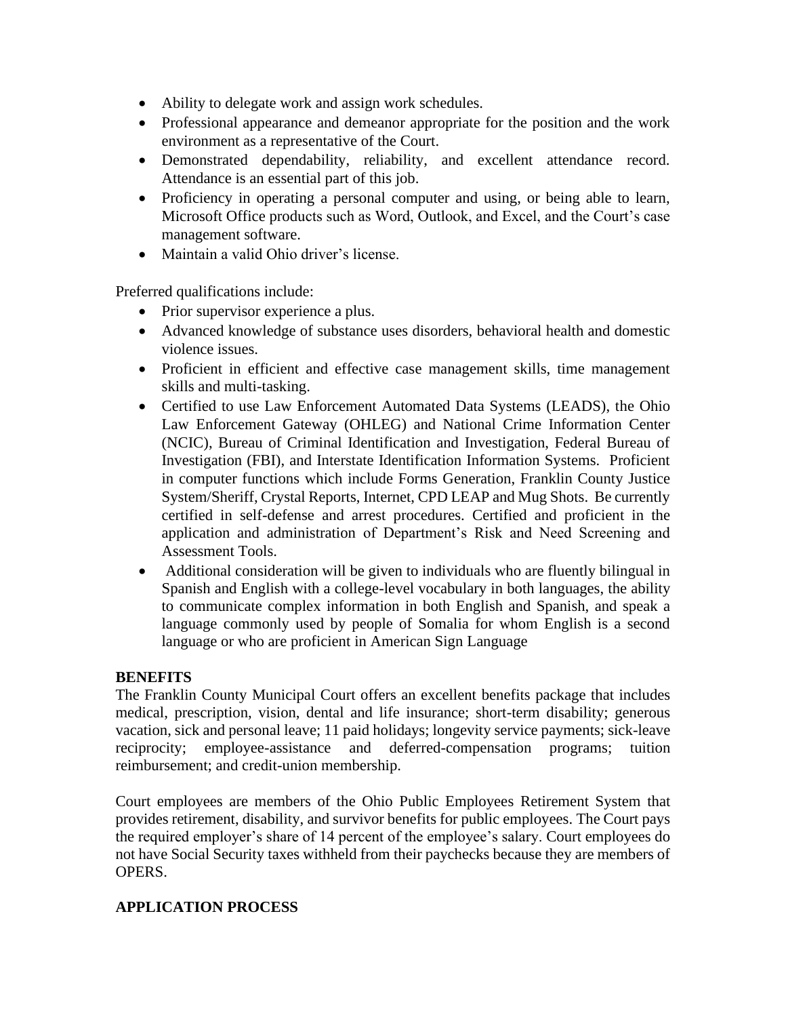- Ability to delegate work and assign work schedules.
- Professional appearance and demeanor appropriate for the position and the work environment as a representative of the Court.
- Demonstrated dependability, reliability, and excellent attendance record. Attendance is an essential part of this job.
- Proficiency in operating a personal computer and using, or being able to learn, Microsoft Office products such as Word, Outlook, and Excel, and the Court's case management software.
- Maintain a valid Ohio driver's license.

Preferred qualifications include:

- Prior supervisor experience a plus.
- Advanced knowledge of substance uses disorders, behavioral health and domestic violence issues.
- Proficient in efficient and effective case management skills, time management skills and multi-tasking.
- Certified to use Law Enforcement Automated Data Systems (LEADS), the Ohio Law Enforcement Gateway (OHLEG) and National Crime Information Center (NCIC), Bureau of Criminal Identification and Investigation, Federal Bureau of Investigation (FBI), and Interstate Identification Information Systems. Proficient in computer functions which include Forms Generation, Franklin County Justice System/Sheriff, Crystal Reports, Internet, CPD LEAP and Mug Shots. Be currently certified in self-defense and arrest procedures. Certified and proficient in the application and administration of Department's Risk and Need Screening and Assessment Tools.
- Additional consideration will be given to individuals who are fluently bilingual in Spanish and English with a college-level vocabulary in both languages, the ability to communicate complex information in both English and Spanish, and speak a language commonly used by people of Somalia for whom English is a second language or who are proficient in American Sign Language

#### **BENEFITS**

The Franklin County Municipal Court offers an excellent benefits package that includes medical, prescription, vision, dental and life insurance; short-term disability; generous vacation, sick and personal leave; 11 paid holidays; longevity service payments; sick-leave reciprocity; employee-assistance and deferred-compensation programs; tuition reimbursement; and credit-union membership.

Court employees are members of the Ohio Public Employees Retirement System that provides retirement, disability, and survivor benefits for public employees. The Court pays the required employer's share of 14 percent of the employee's salary. Court employees do not have Social Security taxes withheld from their paychecks because they are members of OPERS.

### **APPLICATION PROCESS**